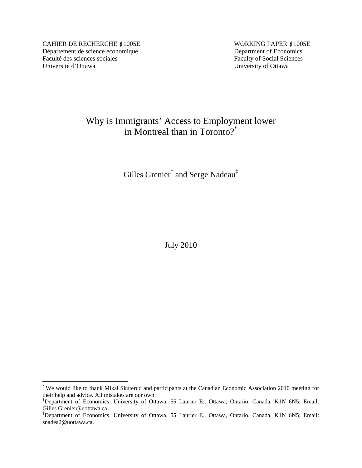CAHIER DE RECHERCHE #1005E WORKING PAPER #1005E Département de science économique<br>
Faculté des sciences sociales<br>
Faculty of Social Sciences Université d'Ottawa University of Ottawa

 $\overline{a}$ 

Faculty of Social Sciences

# Why is Immigrants' Access to Employment lower in Montreal than in Toronto?\*

Gilles Grenier<sup>†</sup> and Serge Nadeau<sup>‡</sup>

July 2010

<sup>\*</sup> We would like to thank Mikal Skuterud and participants at the Canadian Economic Association 2010 meeting for their help and advice. All mistakes are our own.

<sup>†</sup> Department of Economics, University of Ottawa, 55 Laurier E., Ottawa, Ontario, Canada, K1N 6N5; Email: Gilles.Grenier@uottawa.ca.

<sup>‡</sup> Department of Economics, University of Ottawa, 55 Laurier E., Ottawa, Ontario, Canada, K1N 6N5; Email: snadea2@uottawa.ca.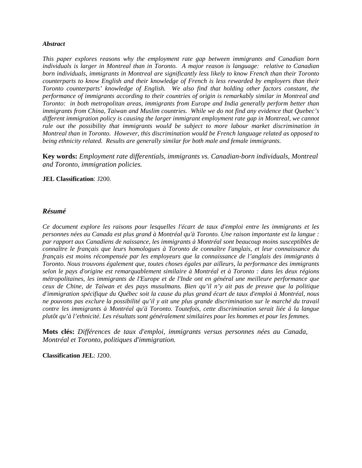## *Abstract*

*This paper explores reasons why the employment rate gap between immigrants and Canadian born individuals is larger in Montreal than in Toronto. A major reason is language: relative to Canadian born individuals, immigrants in Montreal are significantly less likely to know French than their Toronto counterparts to know English and their knowledge of French is less rewarded by employers than their Toronto counterparts' knowledge of English. We also find that holding other factors constant, the performance of immigrants according to their countries of origin is remarkably similar in Montreal and Toronto: in both metropolitan areas, immigrants from Europe and India generally perform better than immigrants from China, Taiwan and Muslim countries. While we do not find any evidence that Quebec's different immigration policy is causing the larger immigrant employment rate gap in Montreal, we cannot rule out the possibility that immigrants would be subject to more labour market discrimination in Montreal than in Toronto. However, this discrimination would be French language related as opposed to being ethnicity related. Results are generally similar for both male and female immigrants.* 

**Key words:** *Employment rate differentials, immigrants vs. Canadian-born individuals, Montreal and Toronto, immigration policies.*

## **JEL Classification**: J200.

## *Résumé*

*Ce document explore les raisons pour lesquelles l'écart de taux d'emploi entre les immigrants et les personnes nées au Canada est plus grand à Montréal qu'à Toronto. Une raison importante est la langue : par rapport aux Canadiens de naissance, les immigrants à Montréal sont beaucoup moins susceptibles de connaître le français que leurs homologues à Toronto de connaître l'anglais, et leur connaissance du français est moins récompensée par les employeurs que la connaissance de l'anglais des immigrants à Toronto. Nous trouvons également que, toutes choses égales par ailleurs, la performance des immigrants selon le pays d'origine est remarquablement similaire à Montréal et à Toronto : dans les deux régions métropolitaines, les immigrants de l'Europe et de l'Inde ont en général une meilleure performance que ceux de Chine, de Taïwan et des pays musulmans. Bien qu'il n'y ait pas de preuve que la politique d'immigration spécifique du Québec soit la cause du plus grand écart de taux d'emploi à Montréal, nous ne pouvons pas exclure la possibilité qu'il y ait une plus grande discrimination sur le marché du travail contre les immigrants à Montréal qu'à Toronto. Toutefois, cette discrimination serait liée à la langue plutôt qu'à l'ethnicité. Les résultats sont généralement similaires pour les hommes et pour les femmes.* 

**Mots clés:** *Différences de taux d'emploi, immigrants versus personnes nées au Canada, Montréal et Toronto, politiques d'immigration.*

**Classification JEL**: J200.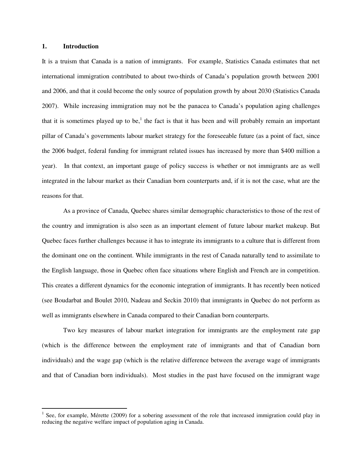#### **1. Introduction**

 $\overline{a}$ 

It is a truism that Canada is a nation of immigrants. For example, Statistics Canada estimates that net international immigration contributed to about two-thirds of Canada's population growth between 2001 and 2006, and that it could become the only source of population growth by about 2030 (Statistics Canada 2007). While increasing immigration may not be the panacea to Canada's population aging challenges that it is sometimes played up to be,<sup>1</sup> the fact is that it has been and will probably remain an important pillar of Canada's governments labour market strategy for the foreseeable future (as a point of fact, since the 2006 budget, federal funding for immigrant related issues has increased by more than \$400 million a year). In that context, an important gauge of policy success is whether or not immigrants are as well integrated in the labour market as their Canadian born counterparts and, if it is not the case, what are the reasons for that.

 As a province of Canada, Quebec shares similar demographic characteristics to those of the rest of the country and immigration is also seen as an important element of future labour market makeup. But Quebec faces further challenges because it has to integrate its immigrants to a culture that is different from the dominant one on the continent. While immigrants in the rest of Canada naturally tend to assimilate to the English language, those in Quebec often face situations where English and French are in competition. This creates a different dynamics for the economic integration of immigrants. It has recently been noticed (see Boudarbat and Boulet 2010, Nadeau and Seckin 2010) that immigrants in Quebec do not perform as well as immigrants elsewhere in Canada compared to their Canadian born counterparts.

Two key measures of labour market integration for immigrants are the employment rate gap (which is the difference between the employment rate of immigrants and that of Canadian born individuals) and the wage gap (which is the relative difference between the average wage of immigrants and that of Canadian born individuals). Most studies in the past have focused on the immigrant wage

<sup>&</sup>lt;sup>1</sup> See, for example, Mérette (2009) for a sobering assessment of the role that increased immigration could play in reducing the negative welfare impact of population aging in Canada.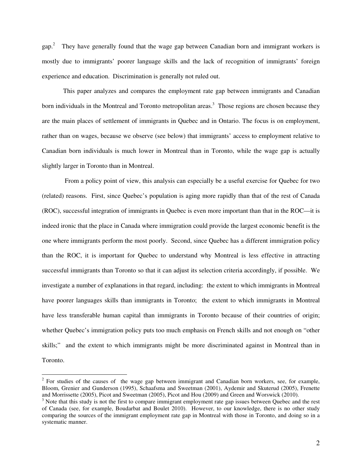$gap<sup>2</sup>$  They have generally found that the wage gap between Canadian born and immigrant workers is mostly due to immigrants' poorer language skills and the lack of recognition of immigrants' foreign experience and education. Discrimination is generally not ruled out.

This paper analyzes and compares the employment rate gap between immigrants and Canadian born individuals in the Montreal and Toronto metropolitan areas.<sup>3</sup> Those regions are chosen because they are the main places of settlement of immigrants in Quebec and in Ontario. The focus is on employment, rather than on wages, because we observe (see below) that immigrants' access to employment relative to Canadian born individuals is much lower in Montreal than in Toronto, while the wage gap is actually slightly larger in Toronto than in Montreal.

 From a policy point of view, this analysis can especially be a useful exercise for Quebec for two (related) reasons. First, since Quebec's population is aging more rapidly than that of the rest of Canada (ROC), successful integration of immigrants in Quebec is even more important than that in the ROC—it is indeed ironic that the place in Canada where immigration could provide the largest economic benefit is the one where immigrants perform the most poorly. Second, since Quebec has a different immigration policy than the ROC, it is important for Quebec to understand why Montreal is less effective in attracting successful immigrants than Toronto so that it can adjust its selection criteria accordingly, if possible. We investigate a number of explanations in that regard, including: the extent to which immigrants in Montreal have poorer languages skills than immigrants in Toronto; the extent to which immigrants in Montreal have less transferable human capital than immigrants in Toronto because of their countries of origin; whether Quebec's immigration policy puts too much emphasis on French skills and not enough on "other skills;" and the extent to which immigrants might be more discriminated against in Montreal than in Toronto.

 $\overline{a}$ 

 $2^2$  For studies of the causes of the wage gap between immigrant and Canadian born workers, see, for example, Bloom, Grenier and Gunderson (1995), Schaafsma and Sweetman (2001), Aydemir and Skuterud (2005), Frenette and Morrissette (2005), Picot and Sweetman (2005), Picot and Hou (2009) and Green and Worswick (2010).

 $3$  Note that this study is not the first to compare immigrant employment rate gap issues between Quebec and the rest of Canada (see, for example, Boudarbat and Boulet 2010). However, to our knowledge, there is no other study comparing the sources of the immigrant employment rate gap in Montreal with those in Toronto, and doing so in a systematic manner.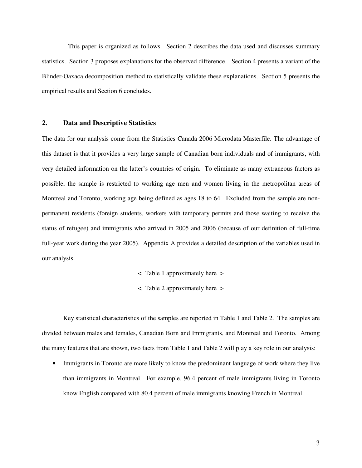This paper is organized as follows. Section 2 describes the data used and discusses summary statistics. Section 3 proposes explanations for the observed difference. Section 4 presents a variant of the Blinder-Oaxaca decomposition method to statistically validate these explanations. Section 5 presents the empirical results and Section 6 concludes.

#### **2. Data and Descriptive Statistics**

The data for our analysis come from the Statistics Canada 2006 Microdata Masterfile. The advantage of this dataset is that it provides a very large sample of Canadian born individuals and of immigrants, with very detailed information on the latter's countries of origin. To eliminate as many extraneous factors as possible, the sample is restricted to working age men and women living in the metropolitan areas of Montreal and Toronto, working age being defined as ages 18 to 64. Excluded from the sample are nonpermanent residents (foreign students, workers with temporary permits and those waiting to receive the status of refugee) and immigrants who arrived in 2005 and 2006 (because of our definition of full-time full-year work during the year 2005). Appendix A provides a detailed description of the variables used in our analysis.

- < Table 1 approximately here >
- < Table 2 approximately here >

Key statistical characteristics of the samples are reported in Table 1 and Table 2. The samples are divided between males and females, Canadian Born and Immigrants, and Montreal and Toronto. Among the many features that are shown, two facts from Table 1 and Table 2 will play a key role in our analysis:

• Immigrants in Toronto are more likely to know the predominant language of work where they live than immigrants in Montreal. For example, 96.4 percent of male immigrants living in Toronto know English compared with 80.4 percent of male immigrants knowing French in Montreal.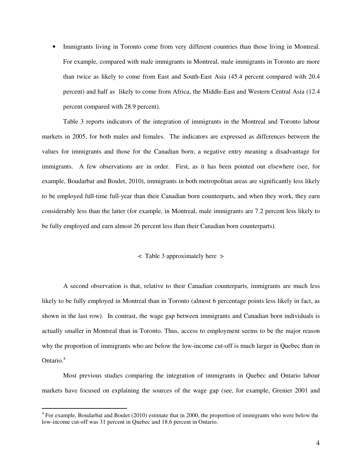Immigrants living in Toronto come from very different countries than those living in Montreal. For example, compared with male immigrants in Montreal, male immigrants in Toronto are more than twice as likely to come from East and South-East Asia (45.4 percent compared with 20.4 percent) and half as likely to come from Africa, the Middle-East and Western Central Asia (12.4 percent compared with 28.9 percent).

Table 3 reports indicators of the integration of immigrants in the Montreal and Toronto labour markets in 2005, for both males and females. The indicators are expressed as differences between the values for immigrants and those for the Canadian born; a negative entry meaning a disadvantage for immigrants. A few observations are in order. First, as it has been pointed out elsewhere (see, for example, Boudarbat and Boulet, 2010), immigrants in both metropolitan areas are significantly less likely to be employed full-time full-year than their Canadian born counterparts, and when they work, they earn considerably less than the latter (for example, in Montreal, male immigrants are 7.2 percent less likely to be fully employed and earn almost 26 percent less than their Canadian born counterparts).

### < Table 3 approximately here >

A second observation is that, relative to their Canadian counterparts, immigrants are much less likely to be fully employed in Montreal than in Toronto (almost 6 percentage points less likely in fact, as shown in the last row). In contrast, the wage gap between immigrants and Canadian born individuals is actually smaller in Montreal than in Toronto. Thus, access to employment seems to be the major reason why the proportion of immigrants who are below the low-income cut-off is much larger in Quebec than in Ontario.<sup>4</sup>

Most previous studies comparing the integration of immigrants in Quebec and Ontario labour markets have focused on explaining the sources of the wage gap (see, for example, Grenier 2001 and

<sup>&</sup>lt;sup>4</sup> For example, Boudarbat and Boulet (2010) estimate that in 2000, the proportion of immigrants who were below the low-income cut-off was 31 percent in Quebec and 18.6 percent in Ontario.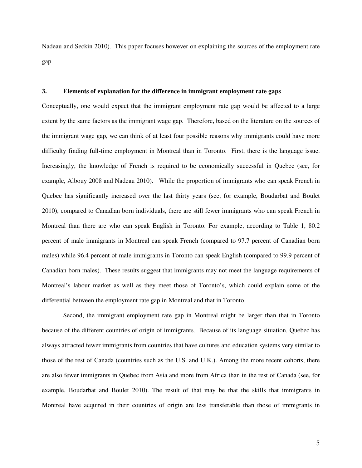Nadeau and Seckin 2010). This paper focuses however on explaining the sources of the employment rate gap.

## **3. Elements of explanation for the difference in immigrant employment rate gaps**

Conceptually, one would expect that the immigrant employment rate gap would be affected to a large extent by the same factors as the immigrant wage gap. Therefore, based on the literature on the sources of the immigrant wage gap, we can think of at least four possible reasons why immigrants could have more difficulty finding full-time employment in Montreal than in Toronto. First, there is the language issue. Increasingly, the knowledge of French is required to be economically successful in Quebec (see, for example, Albouy 2008 and Nadeau 2010). While the proportion of immigrants who can speak French in Quebec has significantly increased over the last thirty years (see, for example, Boudarbat and Boulet 2010), compared to Canadian born individuals, there are still fewer immigrants who can speak French in Montreal than there are who can speak English in Toronto. For example, according to Table 1, 80.2 percent of male immigrants in Montreal can speak French (compared to 97.7 percent of Canadian born males) while 96.4 percent of male immigrants in Toronto can speak English (compared to 99.9 percent of Canadian born males). These results suggest that immigrants may not meet the language requirements of Montreal's labour market as well as they meet those of Toronto's, which could explain some of the differential between the employment rate gap in Montreal and that in Toronto.

Second, the immigrant employment rate gap in Montreal might be larger than that in Toronto because of the different countries of origin of immigrants. Because of its language situation, Quebec has always attracted fewer immigrants from countries that have cultures and education systems very similar to those of the rest of Canada (countries such as the U.S. and U.K.). Among the more recent cohorts, there are also fewer immigrants in Quebec from Asia and more from Africa than in the rest of Canada (see, for example, Boudarbat and Boulet 2010). The result of that may be that the skills that immigrants in Montreal have acquired in their countries of origin are less transferable than those of immigrants in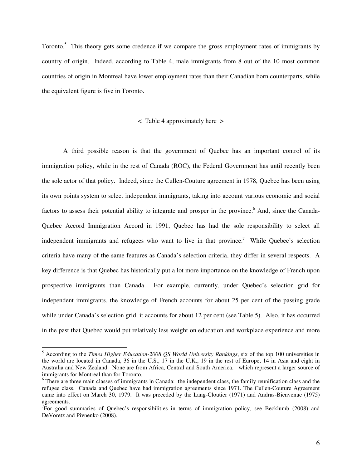Toronto.<sup>5</sup> This theory gets some credence if we compare the gross employment rates of immigrants by country of origin. Indeed, according to Table 4, male immigrants from 8 out of the 10 most common countries of origin in Montreal have lower employment rates than their Canadian born counterparts, while the equivalent figure is five in Toronto.

## < Table 4 approximately here >

A third possible reason is that the government of Quebec has an important control of its immigration policy, while in the rest of Canada (ROC), the Federal Government has until recently been the sole actor of that policy. Indeed, since the Cullen-Couture agreement in 1978, Quebec has been using its own points system to select independent immigrants, taking into account various economic and social factors to assess their potential ability to integrate and prosper in the province.<sup>6</sup> And, since the Canada-Quebec Accord Immigration Accord in 1991, Quebec has had the sole responsibility to select all independent immigrants and refugees who want to live in that province.<sup>7</sup> While Quebec's selection criteria have many of the same features as Canada's selection criteria, they differ in several respects. A key difference is that Quebec has historically put a lot more importance on the knowledge of French upon prospective immigrants than Canada. For example, currently, under Quebec's selection grid for independent immigrants, the knowledge of French accounts for about 25 per cent of the passing grade while under Canada's selection grid, it accounts for about 12 per cent (see Table 5). Also, it has occurred in the past that Quebec would put relatively less weight on education and workplace experience and more

 $\overline{a}$ 

<sup>5</sup> According to the *Times Higher Education-2008 QS World University Rankings*, six of the top 100 universities in the world are located in Canada, 36 in the U.S., 17 in the U.K., 19 in the rest of Europe, 14 in Asia and eight in Australia and New Zealand. None are from Africa, Central and South America, which represent a larger source of immigrants for Montreal than for Toronto.

<sup>&</sup>lt;sup>6</sup> There are three main classes of immigrants in Canada: the independent class, the family reunification class and the refugee class. Canada and Quebec have had immigration agreements since 1971. The Cullen-Couture Agreement came into effect on March 30, 1979. It was preceded by the Lang-Cloutier (1971) and Andras-Bienvenue (1975) agreements.

<sup>&</sup>lt;sup>7</sup>For good summaries of Quebec's responsibilities in terms of immigration policy, see Becklumb (2008) and DeVoretz and Pivnenko (2008).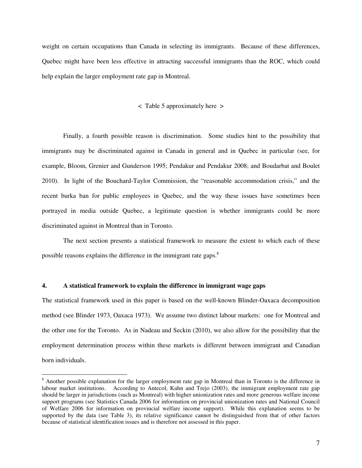weight on certain occupations than Canada in selecting its immigrants. Because of these differences, Quebec might have been less effective in attracting successful immigrants than the ROC, which could help explain the larger employment rate gap in Montreal.

#### < Table 5 approximately here >

Finally, a fourth possible reason is discrimination. Some studies hint to the possibility that immigrants may be discriminated against in Canada in general and in Quebec in particular (see, for example, Bloom, Grenier and Gunderson 1995; Pendakur and Pendakur 2008; and Boudarbat and Boulet 2010). In light of the Bouchard-Taylor Commission, the "reasonable accommodation crisis," and the recent burka ban for public employees in Quebec, and the way these issues have sometimes been portrayed in media outside Quebec, a legitimate question is whether immigrants could be more discriminated against in Montreal than in Toronto.

The next section presents a statistical framework to measure the extent to which each of these possible reasons explains the difference in the immigrant rate gaps.<sup>8</sup>

#### **4. A statistical framework to explain the difference in immigrant wage gaps**

 $\overline{a}$ 

The statistical framework used in this paper is based on the well-known Blinder-Oaxaca decomposition method (see Blinder 1973, Oaxaca 1973). We assume two distinct labour markets: one for Montreal and the other one for the Toronto. As in Nadeau and Seckin (2010), we also allow for the possibility that the employment determination process within these markets is different between immigrant and Canadian born individuals.

<sup>&</sup>lt;sup>8</sup> Another possible explanation for the larger employment rate gap in Montreal than in Toronto is the difference in labour market institutions. According to Antecol, Kuhn and Trejo (2003), the immigrant employment rate gap should be larger in jurisdictions (such as Montreal) with higher unionization rates and more generous welfare income support programs (see Statistics Canada 2006 for information on provincial unionization rates and National Council of Welfare 2006 for information on provincial welfare income support). While this explanation seems to be supported by the data (see Table 3), its relative significance cannot be distinguished from that of other factors because of statistical identification issues and is therefore not assessed in this paper.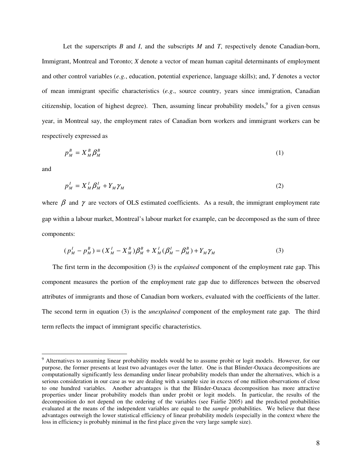Let the superscripts *B* and *I*, and the subscripts *M* and *T*, respectively denote Canadian-born, Immigrant, Montreal and Toronto; *X* denote a vector of mean human capital determinants of employment and other control variables (*e.g.*, education, potential experience, language skills); and, *Y* denotes a vector of mean immigrant specific characteristics (*e.g*., source country, years since immigration, Canadian citizenship, location of highest degree). Then, assuming linear probability models, for a given census year, in Montreal say, the employment rates of Canadian born workers and immigrant workers can be respectively expressed as

$$
p_M^B = X_M^B \beta_M^B \tag{1}
$$

and

 $\overline{a}$ 

$$
p_M^I = X_M^I \beta_M^I + Y_M \gamma_M \tag{2}
$$

where  $\beta$  and  $\gamma$  are vectors of OLS estimated coefficients. As a result, the immigrant employment rate gap within a labour market, Montreal's labour market for example, can be decomposed as the sum of three components:

$$
(p_M^I - p_M^B) = (X_M^I - X_M^B)\beta_M^B + X_M^I(\beta_M^I - \beta_M^B) + Y_M\gamma_M
$$
\n(3)

The first term in the decomposition (3) is the *explained* component of the employment rate gap. This component measures the portion of the employment rate gap due to differences between the observed attributes of immigrants and those of Canadian born workers, evaluated with the coefficients of the latter. The second term in equation (3) is the *unexplained* component of the employment rate gap. The third term reflects the impact of immigrant specific characteristics.

<sup>&</sup>lt;sup>9</sup> Alternatives to assuming linear probability models would be to assume probit or logit models. However, for our purpose, the former presents at least two advantages over the latter. One is that Blinder-Oaxaca decompositions are computationally significantly less demanding under linear probability models than under the alternatives, which is a serious consideration in our case as we are dealing with a sample size in excess of one million observations of close to one hundred variables. Another advantages is that the Blinder-Oaxaca decomposition has more attractive properties under linear probability models than under probit or logit models. In particular, the results of the decomposition do not depend on the ordering of the variables (see Fairlie 2005) and the predicted probabilities evaluated at the means of the independent variables are equal to the *sample* probabilities. We believe that these advantages outweigh the lower statistical efficiency of linear probability models (especially in the context where the loss in efficiency is probably minimal in the first place given the very large sample size).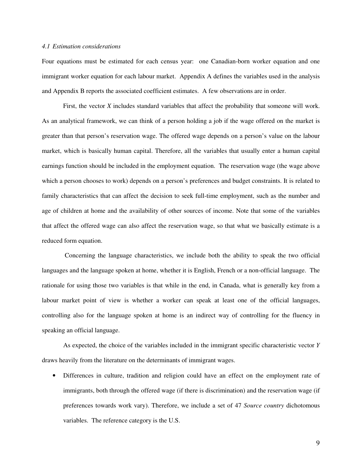#### *4.1 Estimation considerations*

Four equations must be estimated for each census year: one Canadian-born worker equation and one immigrant worker equation for each labour market. Appendix A defines the variables used in the analysis and Appendix B reports the associated coefficient estimates. A few observations are in order.

First, the vector *X* includes standard variables that affect the probability that someone will work. As an analytical framework, we can think of a person holding a job if the wage offered on the market is greater than that person's reservation wage. The offered wage depends on a person's value on the labour market, which is basically human capital. Therefore, all the variables that usually enter a human capital earnings function should be included in the employment equation. The reservation wage (the wage above which a person chooses to work) depends on a person's preferences and budget constraints. It is related to family characteristics that can affect the decision to seek full-time employment, such as the number and age of children at home and the availability of other sources of income. Note that some of the variables that affect the offered wage can also affect the reservation wage, so that what we basically estimate is a reduced form equation.

 Concerning the language characteristics, we include both the ability to speak the two official languages and the language spoken at home, whether it is English, French or a non-official language. The rationale for using those two variables is that while in the end, in Canada, what is generally key from a labour market point of view is whether a worker can speak at least one of the official languages, controlling also for the language spoken at home is an indirect way of controlling for the fluency in speaking an official language.

As expected, the choice of the variables included in the immigrant specific characteristic vector *Y* draws heavily from the literature on the determinants of immigrant wages.

• Differences in culture, tradition and religion could have an effect on the employment rate of immigrants, both through the offered wage (if there is discrimination) and the reservation wage (if preferences towards work vary). Therefore, we include a set of 47 *Source country* dichotomous variables. The reference category is the U.S.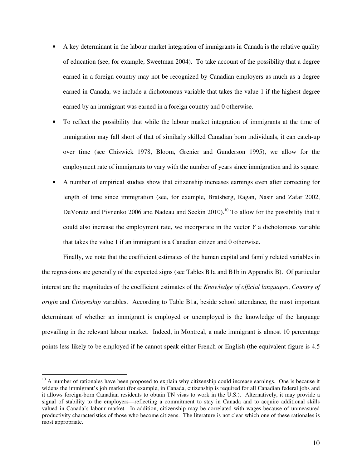- A key determinant in the labour market integration of immigrants in Canada is the relative quality of education (see, for example, Sweetman 2004). To take account of the possibility that a degree earned in a foreign country may not be recognized by Canadian employers as much as a degree earned in Canada, we include a dichotomous variable that takes the value 1 if the highest degree earned by an immigrant was earned in a foreign country and 0 otherwise.
- To reflect the possibility that while the labour market integration of immigrants at the time of immigration may fall short of that of similarly skilled Canadian born individuals, it can catch-up over time (see Chiswick 1978, Bloom, Grenier and Gunderson 1995), we allow for the employment rate of immigrants to vary with the number of years since immigration and its square.
- A number of empirical studies show that citizenship increases earnings even after correcting for length of time since immigration (see, for example, Bratsberg, Ragan, Nasir and Zafar 2002, DeVoretz and Pivnenko 2006 and Nadeau and Seckin 2010).<sup>10</sup> To allow for the possibility that it could also increase the employment rate, we incorporate in the vector *Y* a dichotomous variable that takes the value 1 if an immigrant is a Canadian citizen and 0 otherwise.

Finally, we note that the coefficient estimates of the human capital and family related variables in the regressions are generally of the expected signs (see Tables B1a and B1b in Appendix B). Of particular interest are the magnitudes of the coefficient estimates of the *Knowledge of official languages*, *Country of origin* and *Citizenship* variables. According to Table B1a, beside school attendance, the most important determinant of whether an immigrant is employed or unemployed is the knowledge of the language prevailing in the relevant labour market. Indeed, in Montreal, a male immigrant is almost 10 percentage points less likely to be employed if he cannot speak either French or English (the equivalent figure is 4.5

 $\overline{a}$ 

 $10$  A number of rationales have been proposed to explain why citizenship could increase earnings. One is because it widens the immigrant's job market (for example, in Canada, citizenship is required for all Canadian federal jobs and it allows foreign-born Canadian residents to obtain TN visas to work in the U.S.). Alternatively, it may provide a signal of stability to the employers—reflecting a commitment to stay in Canada and to acquire additional skills valued in Canada's labour market. In addition, citizenship may be correlated with wages because of unmeasured productivity characteristics of those who become citizens. The literature is not clear which one of these rationales is most appropriate.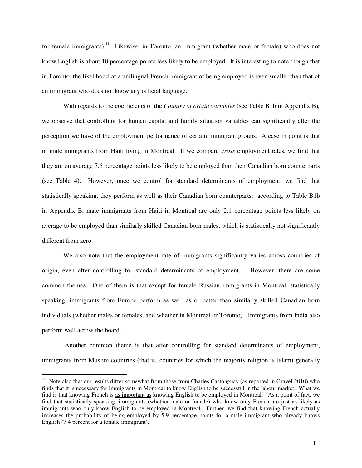for female immigrants).<sup>11</sup> Likewise, in Toronto, an immigrant (whether male or female) who does not know English is about 10 percentage points less likely to be employed. It is interesting to note though that in Toronto, the likelihood of a unilingual French immigrant of being employed is even smaller than that of an immigrant who does not know any official language.

With regards to the coefficients of the *Country of origin variables* (see Table B1b in Appendix B)*,*  we observe that controlling for human capital and family situation variables can significantly alter the perception we have of the employment performance of certain immigrant groups. A case in point is that of male immigrants from Haiti living in Montreal. If we compare *gross* employment rates, we find that they are on average 7.6 percentage points less likely to be employed than their Canadian born counterparts (see Table 4). However, once we control for standard determinants of employment, we find that statistically speaking, they perform as well as their Canadian born counterparts: according to Table B1b in Appendix B, male immigrants from Haiti in Montreal are only 2.1 percentage points less likely on average to be employed than similarly skilled Canadian born males, which is statistically not significantly different from zero.

We also note that the employment rate of immigrants significantly varies across countries of origin, even after controlling for standard determinants of employment. However, there are some common themes. One of them is that except for female Russian immigrants in Montreal, statistically speaking, immigrants from Europe perform as well as or better than similarly skilled Canadian born individuals (whether males or females, and whether in Montreal or Toronto). Immigrants from India also perform well across the board.

 Another common theme is that after controlling for standard determinants of employment, immigrants from Muslim countries (that is, countries for which the majority religion is Islam) generally

 $\overline{a}$ 

 $11$  Note also that our results differ somewhat from those from Charles Castonguay (as reported in Gravel 2010) who finds that it is necessary for immigrants in Montreal to know English to be successful in the labour market. What we find is that knowing French is as important as knowing English to be employed in Montreal. As a point of fact, we find that statistically speaking, immigrants (whether male or female) who know only French are just as likely as immigrants who only know English to be employed in Montreal. Further, we find that knowing French actually increases the probability of being employed by 5.9 percentage points for a male immigrant who already knows English (7.4 percent for a female immigrant).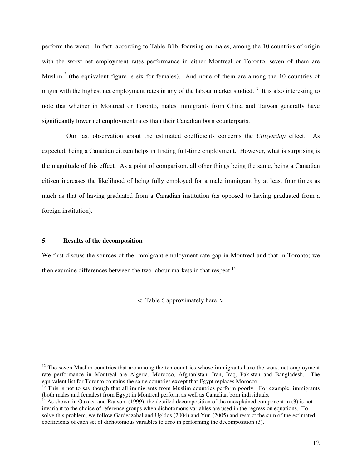perform the worst. In fact, according to Table B1b, focusing on males, among the 10 countries of origin with the worst net employment rates performance in either Montreal or Toronto, seven of them are Muslim<sup>12</sup> (the equivalent figure is six for females). And none of them are among the 10 countries of origin with the highest net employment rates in any of the labour market studied.<sup>13</sup> It is also interesting to note that whether in Montreal or Toronto, males immigrants from China and Taiwan generally have significantly lower net employment rates than their Canadian born counterparts.

 Our last observation about the estimated coefficients concerns the *Citizenship* effect. As expected, being a Canadian citizen helps in finding full-time employment. However, what is surprising is the magnitude of this effect. As a point of comparison, all other things being the same, being a Canadian citizen increases the likelihood of being fully employed for a male immigrant by at least four times as much as that of having graduated from a Canadian institution (as opposed to having graduated from a foreign institution).

### **5. Results of the decomposition**

 $\overline{a}$ 

We first discuss the sources of the immigrant employment rate gap in Montreal and that in Toronto; we then examine differences between the two labour markets in that respect.<sup>14</sup>

< Table 6 approximately here >

 $12$  The seven Muslim countries that are among the ten countries whose immigrants have the worst net employment rate performance in Montreal are Algeria, Morocco, Afghanistan, Iran, Iraq, Pakistan and Bangladesh. The equivalent list for Toronto contains the same countries except that Egypt replaces Morocco.

 $13$ <sup>This</sup> is not to say though that all immigrants from Muslim countries perform poorly. For example, immigrants (both males and females) from Egypt in Montreal perform as well as Canadian born individuals.

<sup>&</sup>lt;sup>14</sup> As shown in Oaxaca and Ransom (1999), the detailed decomposition of the unexplained component in (3) is not invariant to the choice of reference groups when dichotomous variables are used in the regression equations. To solve this problem, we follow Gardeazabal and Ugidos (2004) and Yun (2005) and restrict the sum of the estimated coefficients of each set of dichotomous variables to zero in performing the decomposition (3).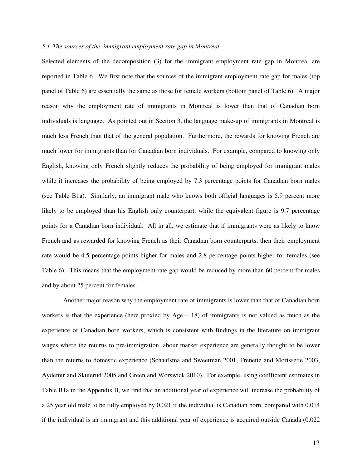#### *5.1 The sources of the immigrant employment rate gap in Montreal*

Selected elements of the decomposition (3) for the immigrant employment rate gap in Montreal are reported in Table 6. We first note that the sources of the immigrant employment rate gap for males (top panel of Table 6) are essentially the same as those for female workers (bottom panel of Table 6). A major reason why the employment rate of immigrants in Montreal is lower than that of Canadian born individuals is language. As pointed out in Section 3, the language make-up of immigrants in Montreal is much less French than that of the general population. Furthermore, the rewards for knowing French are much lower for immigrants than for Canadian born individuals. For example, compared to knowing only English, knowing only French slightly reduces the probability of being employed for immigrant males while it increases the probability of being employed by 7.3 percentage points for Canadian born males (see Table B1a). Similarly, an immigrant male who knows both official languages is 5.9 percent more likely to be employed than his English only counterpart, while the equivalent figure is 9.7 percentage points for a Canadian born individual. All in all, we estimate that if immigrants were as likely to know French and as rewarded for knowing French as their Canadian born counterparts, then their employment rate would be 4.5 percentage points higher for males and 2.8 percentage points higher for females (see Table 6). This means that the employment rate gap would be reduced by more than 60 percent for males and by about 25 percent for females.

Another major reason why the employment rate of immigrants is lower than that of Canadian born workers is that the experience (here proxied by Age  $-18$ ) of immigrants is not valued as much as the experience of Canadian born workers, which is consistent with findings in the literature on immigrant wages where the returns to pre-immigration labour market experience are generally thought to be lower than the returns to domestic experience (Schaafsma and Sweetman 2001, Frenette and Morissette 2003, Aydemir and Skuterud 2005 and Green and Worswick 2010). For example, using coefficient estimates in Table B1a in the Appendix B, we find that an additional year of experience will increase the probability of a 25 year old male to be fully employed by 0.021 if the individual is Canadian born, compared with 0.014 if the individual is an immigrant and this additional year of experience is acquired outside Canada (0.022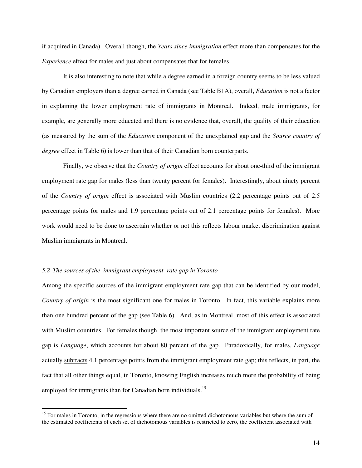if acquired in Canada). Overall though, the *Years since immigration* effect more than compensates for the *Experience* effect for males and just about compensates that for females.

It is also interesting to note that while a degree earned in a foreign country seems to be less valued by Canadian employers than a degree earned in Canada (see Table B1A), overall, *Education* is not a factor in explaining the lower employment rate of immigrants in Montreal. Indeed, male immigrants, for example, are generally more educated and there is no evidence that, overall, the quality of their education (as measured by the sum of the *Education* component of the unexplained gap and the *Source country of degree* effect in Table 6) is lower than that of their Canadian born counterparts.

 Finally, we observe that the *Country of origin* effect accounts for about one-third of the immigrant employment rate gap for males (less than twenty percent for females). Interestingly, about ninety percent of the *Country of origin* effect is associated with Muslim countries (2.2 percentage points out of 2.5 percentage points for males and 1.9 percentage points out of 2.1 percentage points for females). More work would need to be done to ascertain whether or not this reflects labour market discrimination against Muslim immigrants in Montreal.

#### *5.2 The sources of the immigrant employment rate gap in Toronto*

 $\overline{a}$ 

Among the specific sources of the immigrant employment rate gap that can be identified by our model, *Country of origin* is the most significant one for males in Toronto. In fact, this variable explains more than one hundred percent of the gap (see Table 6). And, as in Montreal, most of this effect is associated with Muslim countries. For females though, the most important source of the immigrant employment rate gap is *Language*, which accounts for about 80 percent of the gap. Paradoxically, for males, *Language* actually subtracts 4.1 percentage points from the immigrant employment rate gap; this reflects, in part, the fact that all other things equal, in Toronto, knowing English increases much more the probability of being employed for immigrants than for Canadian born individuals.<sup>15</sup>

<sup>&</sup>lt;sup>15</sup> For males in Toronto, in the regressions where there are no omitted dichotomous variables but where the sum of the estimated coefficients of each set of dichotomous variables is restricted to zero, the coefficient associated with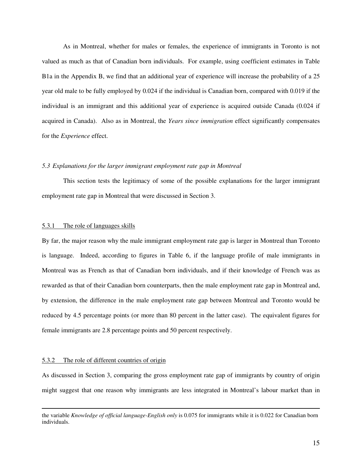As in Montreal, whether for males or females, the experience of immigrants in Toronto is not valued as much as that of Canadian born individuals. For example, using coefficient estimates in Table B1a in the Appendix B, we find that an additional year of experience will increase the probability of a 25 year old male to be fully employed by 0.024 if the individual is Canadian born, compared with 0.019 if the individual is an immigrant and this additional year of experience is acquired outside Canada (0.024 if acquired in Canada). Also as in Montreal, the *Years since immigration* effect significantly compensates for the *Experience* effect.

## *5.3 Explanations for the larger immigrant employment rate gap in Montreal*

 This section tests the legitimacy of some of the possible explanations for the larger immigrant employment rate gap in Montreal that were discussed in Section 3.

#### 5.3.1 The role of languages skills

By far, the major reason why the male immigrant employment rate gap is larger in Montreal than Toronto is language. Indeed, according to figures in Table 6, if the language profile of male immigrants in Montreal was as French as that of Canadian born individuals, and if their knowledge of French was as rewarded as that of their Canadian born counterparts, then the male employment rate gap in Montreal and, by extension, the difference in the male employment rate gap between Montreal and Toronto would be reduced by 4.5 percentage points (or more than 80 percent in the latter case). The equivalent figures for female immigrants are 2.8 percentage points and 50 percent respectively.

## 5.3.2 The role of different countries of origin

 $\overline{a}$ 

As discussed in Section 3, comparing the gross employment rate gap of immigrants by country of origin might suggest that one reason why immigrants are less integrated in Montreal's labour market than in

the variable *Knowledge of official language-English only* is 0.075 for immigrants while it is 0.022 for Canadian born individuals.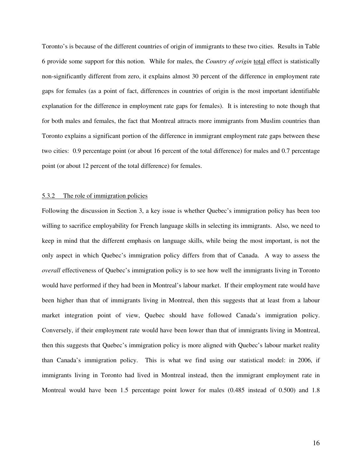Toronto's is because of the different countries of origin of immigrants to these two cities. Results in Table 6 provide some support for this notion. While for males, the *Country of origin* total effect is statistically non-significantly different from zero, it explains almost 30 percent of the difference in employment rate gaps for females (as a point of fact, differences in countries of origin is the most important identifiable explanation for the difference in employment rate gaps for females). It is interesting to note though that for both males and females, the fact that Montreal attracts more immigrants from Muslim countries than Toronto explains a significant portion of the difference in immigrant employment rate gaps between these two cities: 0.9 percentage point (or about 16 percent of the total difference) for males and 0.7 percentage point (or about 12 percent of the total difference) for females.

## 5.3.2 The role of immigration policies

Following the discussion in Section 3, a key issue is whether Quebec's immigration policy has been too willing to sacrifice employability for French language skills in selecting its immigrants. Also, we need to keep in mind that the different emphasis on language skills, while being the most important, is not the only aspect in which Quebec's immigration policy differs from that of Canada. A way to assess the *overall* effectiveness of Quebec's immigration policy is to see how well the immigrants living in Toronto would have performed if they had been in Montreal's labour market. If their employment rate would have been higher than that of immigrants living in Montreal, then this suggests that at least from a labour market integration point of view, Quebec should have followed Canada's immigration policy. Conversely, if their employment rate would have been lower than that of immigrants living in Montreal, then this suggests that Quebec's immigration policy is more aligned with Quebec's labour market reality than Canada's immigration policy. This is what we find using our statistical model: in 2006, if immigrants living in Toronto had lived in Montreal instead, then the immigrant employment rate in Montreal would have been 1.5 percentage point lower for males (0.485 instead of 0.500) and 1.8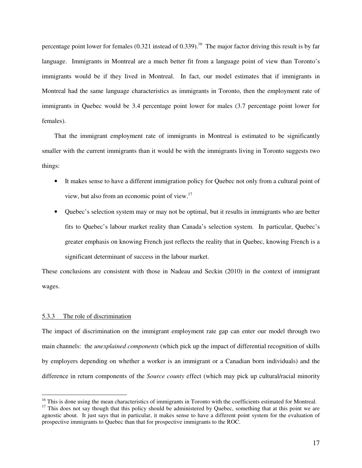percentage point lower for females  $(0.321$  instead of  $(0.339)$ .<sup>16</sup> The major factor driving this result is by far language. Immigrants in Montreal are a much better fit from a language point of view than Toronto's immigrants would be if they lived in Montreal. In fact, our model estimates that if immigrants in Montreal had the same language characteristics as immigrants in Toronto, then the employment rate of immigrants in Quebec would be 3.4 percentage point lower for males (3.7 percentage point lower for females).

That the immigrant employment rate of immigrants in Montreal is estimated to be significantly smaller with the current immigrants than it would be with the immigrants living in Toronto suggests two things:

- It makes sense to have a different immigration policy for Quebec not only from a cultural point of view, but also from an economic point of view.<sup>17</sup>
- Quebec's selection system may or may not be optimal, but it results in immigrants who are better fits to Quebec's labour market reality than Canada's selection system. In particular, Quebec's greater emphasis on knowing French just reflects the reality that in Quebec, knowing French is a significant determinant of success in the labour market.

These conclusions are consistent with those in Nadeau and Seckin (2010) in the context of immigrant wages.

#### 5.3.3 The role of discrimination

 $\overline{a}$ 

The impact of discrimination on the immigrant employment rate gap can enter our model through two main channels: the *unexplained components* (which pick up the impact of differential recognition of skills by employers depending on whether a worker is an immigrant or a Canadian born individuals) and the difference in return components of the *Source county* effect (which may pick up cultural/racial minority

 $16$  This is done using the mean characteristics of immigrants in Toronto with the coefficients estimated for Montreal.

 $17$  This does not say though that this policy should be administered by Quebec, something that at this point we are agnostic about. It just says that in particular, it makes sense to have a different point system for the evaluation of prospective immigrants to Quebec than that for prospective immigrants to the ROC.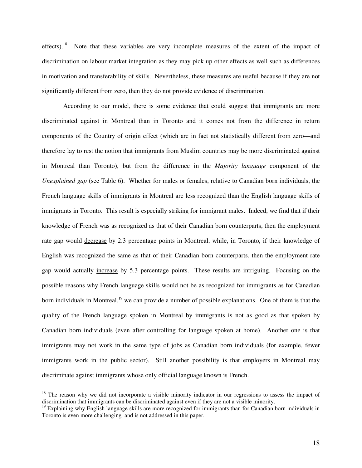effects).<sup>18</sup> Note that these variables are very incomplete measures of the extent of the impact of discrimination on labour market integration as they may pick up other effects as well such as differences in motivation and transferability of skills. Nevertheless, these measures are useful because if they are not significantly different from zero, then they do not provide evidence of discrimination.

 According to our model, there is some evidence that could suggest that immigrants are more discriminated against in Montreal than in Toronto and it comes not from the difference in return components of the Country of origin effect (which are in fact not statistically different from zero—and therefore lay to rest the notion that immigrants from Muslim countries may be more discriminated against in Montreal than Toronto), but from the difference in the *Majority language* component of the *Unexplained gap* (see Table 6). Whether for males or females, relative to Canadian born individuals, the French language skills of immigrants in Montreal are less recognized than the English language skills of immigrants in Toronto. This result is especially striking for immigrant males. Indeed, we find that if their knowledge of French was as recognized as that of their Canadian born counterparts, then the employment rate gap would decrease by 2.3 percentage points in Montreal, while, in Toronto, if their knowledge of English was recognized the same as that of their Canadian born counterparts, then the employment rate gap would actually increase by 5.3 percentage points. These results are intriguing. Focusing on the possible reasons why French language skills would not be as recognized for immigrants as for Canadian born individuals in Montreal,<sup>19</sup> we can provide a number of possible explanations. One of them is that the quality of the French language spoken in Montreal by immigrants is not as good as that spoken by Canadian born individuals (even after controlling for language spoken at home). Another one is that immigrants may not work in the same type of jobs as Canadian born individuals (for example, fewer immigrants work in the public sector). Still another possibility is that employers in Montreal may discriminate against immigrants whose only official language known is French.

 $\overline{a}$ 

 $18$  The reason why we did not incorporate a visible minority indicator in our regressions to assess the impact of discrimination that immigrants can be discriminated against even if they are not a visible minority.

 $19$  Explaining why English language skills are more recognized for immigrants than for Canadian born individuals in Toronto is even more challenging and is not addressed in this paper.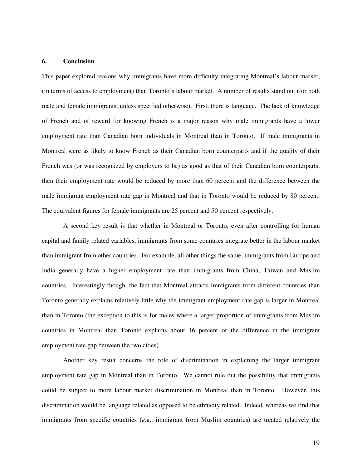## **6. Conclusion**

This paper explored reasons why immigrants have more difficulty integrating Montreal's labour market, (in terms of access to employment) than Toronto's labour market. A number of results stand out (for both male and female immigrants, unless specified otherwise). First, there is language. The lack of knowledge of French and of reward for knowing French is a major reason why male immigrants have a lower employment rate than Canadian born individuals in Montreal than in Toronto. If male immigrants in Montreal were as likely to know French as their Canadian born counterparts and if the quality of their French was (or was recognized by employers to be) as good as that of their Canadian born counterparts, then their employment rate would be reduced by more than 60 percent and the difference between the male immigrant employment rate gap in Montreal and that in Toronto would be reduced by 80 percent. The equivalent figures for female immigrants are 25 percent and 50 percent respectively.

 A second key result is that whether in Montreal or Toronto, even after controlling for human capital and family related variables, immigrants from some countries integrate better in the labour market than immigrant from other countries. For example, all other things the same, immigrants from Europe and India generally have a higher employment rate than immigrants from China, Taiwan and Muslim countries. Interestingly though, the fact that Montreal attracts immigrants from different countries than Toronto generally explains relatively little why the immigrant employment rate gap is larger in Montreal than in Toronto (the exception to this is for males where a larger proportion of immigrants from Muslim countries in Montreal than Toronto explains about 16 percent of the difference in the immigrant employment rate gap between the two cities).

 Another key result concerns the role of discrimination in explaining the larger immigrant employment rate gap in Montreal than in Toronto. We cannot rule out the possibility that immigrants could be subject to more labour market discrimination in Montreal than in Toronto. However, this discrimination would be language related as opposed to be ethnicity related. Indeed, whereas we find that immigrants from specific countries (*e.*g., immigrant from Muslim countries) are treated relatively the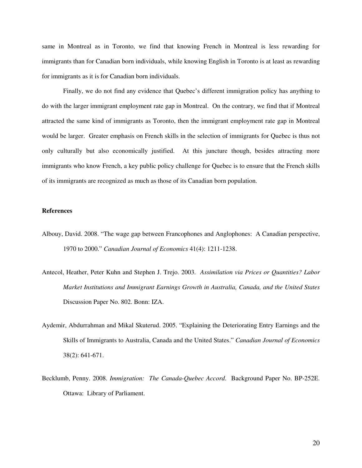same in Montreal as in Toronto, we find that knowing French in Montreal is less rewarding for immigrants than for Canadian born individuals, while knowing English in Toronto is at least as rewarding for immigrants as it is for Canadian born individuals.

 Finally, we do not find any evidence that Quebec's different immigration policy has anything to do with the larger immigrant employment rate gap in Montreal. On the contrary, we find that if Montreal attracted the same kind of immigrants as Toronto, then the immigrant employment rate gap in Montreal would be larger. Greater emphasis on French skills in the selection of immigrants for Quebec is thus not only culturally but also economically justified. At this juncture though, besides attracting more immigrants who know French, a key public policy challenge for Quebec is to ensure that the French skills of its immigrants are recognized as much as those of its Canadian born population.

## **References**

- Albouy, David. 2008. "The wage gap between Francophones and Anglophones: A Canadian perspective, 1970 to 2000." *Canadian Journal of Economics* 41(4): 1211-1238.
- Antecol, Heather, Peter Kuhn and Stephen J. Trejo. 2003. *Assimilation via Prices or Quantities? Labor Market Institutions and Immigrant Earnings Growth in Australia, Canada, and the United States*  Discussion Paper No. 802. Bonn: IZA.
- Aydemir, Abdurrahman and Mikal Skuterud. 2005. "Explaining the Deteriorating Entry Earnings and the Skills of Immigrants to Australia, Canada and the United States." *Canadian Journal of Economics* 38(2): 641-671.
- Becklumb, Penny. 2008. *Immigration: The Canada-Quebec Accord*. Background Paper No. BP-252E. Ottawa: Library of Parliament.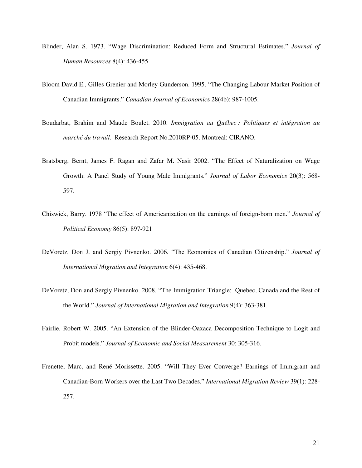- Blinder, Alan S. 1973. "Wage Discrimination: Reduced Form and Structural Estimates." *Journal of Human Resources* 8(4): 436-455.
- Bloom David E., Gilles Grenier and Morley Gunderson. 1995. "The Changing Labour Market Position of Canadian Immigrants." *Canadian Journal of Economic*s 28(4b): 987-1005.
- Boudarbat, Brahim and Maude Boulet. 2010. *Immigration au Québec : Politiques et intégration au marché du travail*. Research Report No.2010RP-05. Montreal: CIRANO.
- Bratsberg, Bernt, James F. Ragan and Zafar M. Nasir 2002. "The Effect of Naturalization on Wage Growth: A Panel Study of Young Male Immigrants." *Journal of Labor Economics* 20(3): 568- 597.
- Chiswick, Barry. 1978 "The effect of Americanization on the earnings of foreign-born men." *Journal of Political Economy* 86(5): 897-921
- DeVoretz, Don J. and Sergiy Pivnenko. 2006. "The Economics of Canadian Citizenship." *Journal of International Migration and Integration* 6(4): 435-468.
- DeVoretz, Don and Sergiy Pivnenko. 2008. "The Immigration Triangle: Quebec, Canada and the Rest of the World." *Journal of International Migration and Integration* 9(4): 363-381.
- Fairlie, Robert W. 2005. "An Extension of the Blinder-Oaxaca Decomposition Technique to Logit and Probit models." *Journal of Economic and Social Measurement* 30: 305-316.
- Frenette, Marc, and René Morissette. 2005. "Will They Ever Converge? Earnings of Immigrant and Canadian-Born Workers over the Last Two Decades." *International Migration Review* 39(1): 228- 257.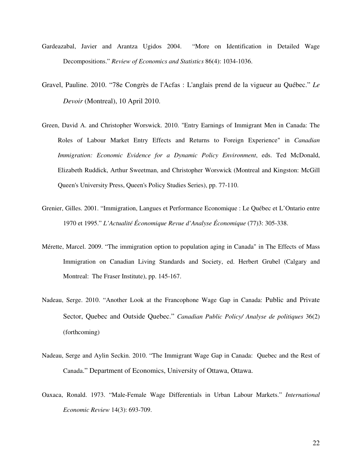- Gardeazabal, Javier and Arantza Ugidos 2004. "More on Identification in Detailed Wage Decompositions." *Review of Economics and Statistics* 86(4): 1034-1036.
- Gravel, Pauline. 2010. "78e Congrès de l'Acfas : L'anglais prend de la vigueur au Québec." *Le Devoir* (Montreal), 10 April 2010.
- Green, David A. and Christopher Worswick. 2010. "Entry Earnings of Immigrant Men in Canada: The Roles of Labour Market Entry Effects and Returns to Foreign Experience" in *Canadian Immigration: Economic Evidence for a Dynamic Policy Environment*, eds. Ted McDonald, Elizabeth Ruddick, Arthur Sweetman, and Christopher Worswick (Montreal and Kingston: McGill Queen's University Press, Queen's Policy Studies Series), pp. 77-110.
- Grenier, Gilles. 2001. "Immigration, Langues et Performance Economique : Le Québec et L'Ontario entre 1970 et 1995." *L'Actualité Économique Revue d'Analyse Économique* (77)3: 305-338.
- Mérette, Marcel. 2009. "The immigration option to population aging in Canada" in The Effects of Mass Immigration on Canadian Living Standards and Society, ed. Herbert Grubel (Calgary and Montreal: The Fraser Institute), pp. 145-167.
- Nadeau, Serge. 2010. "Another Look at the Francophone Wage Gap in Canada: Public and Private Sector, Quebec and Outside Quebec." *Canadian Public Policy/ Analyse de politiques* 36(2) (forthcoming)
- Nadeau, Serge and Aylin Seckin. 2010. "The Immigrant Wage Gap in Canada: Quebec and the Rest of Canada." Department of Economics, University of Ottawa, Ottawa.
- Oaxaca, Ronald. 1973. "Male-Female Wage Differentials in Urban Labour Markets." *International Economic Review* 14(3): 693-709.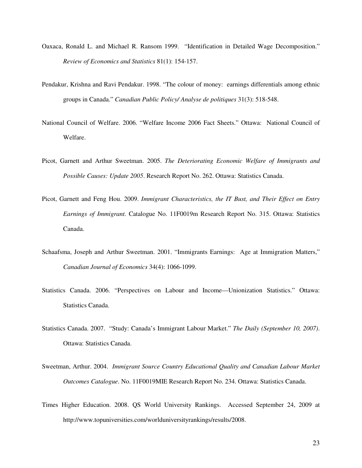- Oaxaca, Ronald L. and Michael R. Ransom 1999. "Identification in Detailed Wage Decomposition." *Review of Economics and Statistics* 81(1): 154-157.
- Pendakur, Krishna and Ravi Pendakur. 1998. "The colour of money: earnings differentials among ethnic groups in Canada." *Canadian Public Policy/ Analyse de politiques* 31(3): 518-548.
- National Council of Welfare. 2006. "Welfare Income 2006 Fact Sheets." Ottawa: National Council of Welfare.
- Picot, Garnett and Arthur Sweetman. 2005. *The Deteriorating Economic Welfare of Immigrants and Possible Causes: Update 2005*. Research Report No. 262. Ottawa: Statistics Canada.
- Picot, Garnett and Feng Hou. 2009. *Immigrant Characteristics, the IT Bust, and Their Effect on Entry Earnings of Immigrant.* Catalogue No. 11F0019m Research Report No. 315. Ottawa: Statistics Canada.
- Schaafsma, Joseph and Arthur Sweetman. 2001. "Immigrants Earnings: Age at Immigration Matters," *Canadian Journal of Economics* 34(4): 1066-1099.
- Statistics Canada. 2006. "Perspectives on Labour and Income—Unionization Statistics." Ottawa: Statistics Canada.
- Statistics Canada. 2007. "Study: Canada's Immigrant Labour Market." *The Daily (September 10, 2007)*. Ottawa: Statistics Canada.
- Sweetman, Arthur. 2004. *Immigrant Source Country Educational Quality and Canadian Labour Market Outcomes Catalogue*. No. 11F0019MIE Research Report No. 234. Ottawa: Statistics Canada.
- Times Higher Education. 2008. QS World University Rankings. Accessed September 24, 2009 at http://www.topuniversities.com/worlduniversityrankings/results/2008.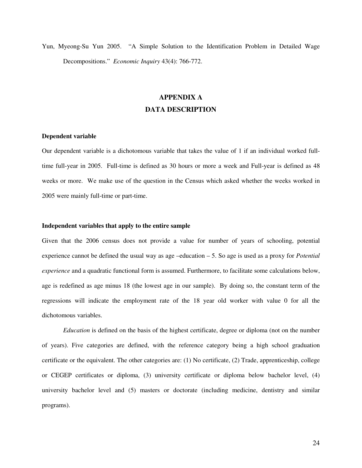Yun, Myeong-Su Yun 2005. "A Simple Solution to the Identification Problem in Detailed Wage Decompositions." *Economic Inquiry* 43(4): 766-772.

# **APPENDIX A DATA DESCRIPTION**

### **Dependent variable**

Our dependent variable is a dichotomous variable that takes the value of 1 if an individual worked fulltime full-year in 2005. Full-time is defined as 30 hours or more a week and Full-year is defined as 48 weeks or more. We make use of the question in the Census which asked whether the weeks worked in 2005 were mainly full-time or part-time.

#### **Independent variables that apply to the entire sample**

Given that the 2006 census does not provide a value for number of years of schooling, potential experience cannot be defined the usual way as age –education – 5. So age is used as a proxy for *Potential experience* and a quadratic functional form is assumed. Furthermore, to facilitate some calculations below, age is redefined as age minus 18 (the lowest age in our sample). By doing so, the constant term of the regressions will indicate the employment rate of the 18 year old worker with value 0 for all the dichotomous variables.

*Education* is defined on the basis of the highest certificate, degree or diploma (not on the number of years). Five categories are defined, with the reference category being a high school graduation certificate or the equivalent. The other categories are: (1) No certificate, (2) Trade, apprenticeship, college or CEGEP certificates or diploma, (3) university certificate or diploma below bachelor level, (4) university bachelor level and (5) masters or doctorate (including medicine, dentistry and similar programs).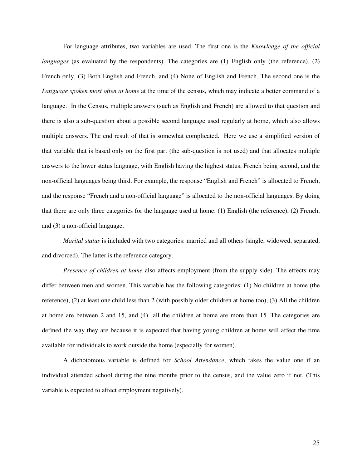For language attributes, two variables are used. The first one is the *Knowledge of the official languages* (as evaluated by the respondents). The categories are (1) English only (the reference), (2) French only, (3) Both English and French, and (4) None of English and French. The second one is the *Language spoken most often at home* at the time of the census, which may indicate a better command of a language. In the Census, multiple answers (such as English and French) are allowed to that question and there is also a sub-question about a possible second language used regularly at home, which also allows multiple answers. The end result of that is somewhat complicated. Here we use a simplified version of that variable that is based only on the first part (the sub-question is not used) and that allocates multiple answers to the lower status language, with English having the highest status, French being second, and the non-official languages being third. For example, the response "English and French" is allocated to French, and the response "French and a non-official language" is allocated to the non-official languages. By doing that there are only three categories for the language used at home: (1) English (the reference), (2) French, and (3) a non-official language.

*Marital status* is included with two categories: married and all others (single, widowed, separated, and divorced). The latter is the reference category.

*Presence of children at home* also affects employment (from the supply side). The effects may differ between men and women. This variable has the following categories: (1) No children at home (the reference), (2) at least one child less than 2 (with possibly older children at home too), (3) All the children at home are between 2 and 15, and (4) all the children at home are more than 15. The categories are defined the way they are because it is expected that having young children at home will affect the time available for individuals to work outside the home (especially for women).

A dichotomous variable is defined for *School Attendance*, which takes the value one if an individual attended school during the nine months prior to the census, and the value zero if not. (This variable is expected to affect employment negatively).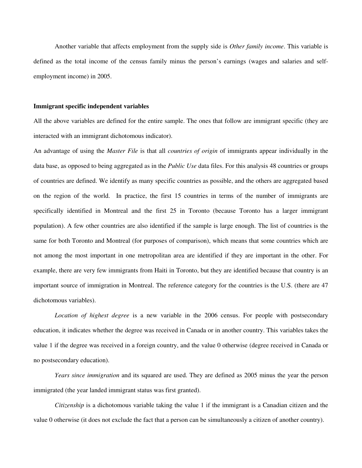Another variable that affects employment from the supply side is *Other family income*. This variable is defined as the total income of the census family minus the person's earnings (wages and salaries and selfemployment income) in 2005.

#### **Immigrant specific independent variables**

All the above variables are defined for the entire sample. The ones that follow are immigrant specific (they are interacted with an immigrant dichotomous indicator).

An advantage of using the *Master File* is that all *countries of origin* of immigrants appear individually in the data base, as opposed to being aggregated as in the *Public Use* data files. For this analysis 48 countries or groups of countries are defined. We identify as many specific countries as possible, and the others are aggregated based on the region of the world. In practice, the first 15 countries in terms of the number of immigrants are specifically identified in Montreal and the first 25 in Toronto (because Toronto has a larger immigrant population). A few other countries are also identified if the sample is large enough. The list of countries is the same for both Toronto and Montreal (for purposes of comparison), which means that some countries which are not among the most important in one metropolitan area are identified if they are important in the other. For example, there are very few immigrants from Haiti in Toronto, but they are identified because that country is an important source of immigration in Montreal. The reference category for the countries is the U.S. (there are 47 dichotomous variables).

*Location of highest degree* is a new variable in the 2006 census. For people with postsecondary education, it indicates whether the degree was received in Canada or in another country. This variables takes the value 1 if the degree was received in a foreign country, and the value 0 otherwise (degree received in Canada or no postsecondary education).

*Years since immigration* and its squared are used. They are defined as 2005 minus the year the person immigrated (the year landed immigrant status was first granted).

*Citizenship* is a dichotomous variable taking the value 1 if the immigrant is a Canadian citizen and the value 0 otherwise (it does not exclude the fact that a person can be simultaneously a citizen of another country).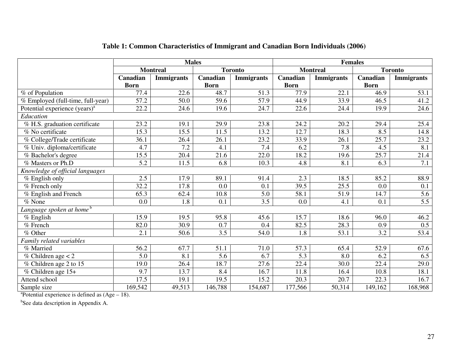|                                           |                  | <b>Males</b>      |                  |                   | <b>Females</b> |                   |                  |                   |  |  |
|-------------------------------------------|------------------|-------------------|------------------|-------------------|----------------|-------------------|------------------|-------------------|--|--|
|                                           |                  | <b>Montreal</b>   |                  | <b>Toronto</b>    |                | <b>Montreal</b>   |                  | <b>Toronto</b>    |  |  |
|                                           | Canadian         | <b>Immigrants</b> | Canadian         | <b>Immigrants</b> | Canadian       | <b>Immigrants</b> | Canadian         | <b>Immigrants</b> |  |  |
|                                           | <b>Born</b>      |                   | <b>Born</b>      |                   | <b>Born</b>    |                   | <b>Born</b>      |                   |  |  |
| % of Population                           | 77.4             | 22.6              | 48.7             | 51.3              | 77.9           | 22.1              | 46.9             | 53.1              |  |  |
| % Employed (full-time, full-year)         | 57.2             | 50.0              | 59.6             | 57.9              | 44.9           | 33.9              | 46.5             | 41.2              |  |  |
| Potential experience (years) <sup>a</sup> | 22.2             | 24.6              | 19.6             | 24.7              | 22.6           | 24.4              | 19.9             | 24.6              |  |  |
| Education                                 |                  |                   |                  |                   |                |                   |                  |                   |  |  |
| % H.S. graduation certificate             | 23.2             | 19.1              | 29.9             | 23.8              | 24.2           | 20.2              | 29.4             | 25.4              |  |  |
| % No certificate                          | 15.3             | 15.5              | 11.5             | 13.2              | 12.7           | 18.3              | 8.5              | 14.8              |  |  |
| % College/Trade certificate               | 36.1             | 26.4              | 26.1             | 23.2              | 33.9           | 26.1              | 25.7             | 23.2              |  |  |
| % Univ. diploma/certificate               | 4.7              | 7.2               | 4.1              | 7.4               | 6.2            | 7.8               | 4.5              | 8.1               |  |  |
| % Bachelor's degree                       | 15.5             | 20.4              | 21.6             | 22.0              | 18.2           | 19.6              | 25.7             | 21.4              |  |  |
| % Masters or Ph.D                         | 5.2              | 11.5              | 6.8              | 10.3              | 4.8            | 8.1               | 6.3              | 7.1               |  |  |
| Knowledge of official languages           |                  |                   |                  |                   |                |                   |                  |                   |  |  |
| % English only                            | 2.5              | 17.9              | 89.1             | 91.4              | 2.3            | 18.5              | 85.2             | 88.9              |  |  |
| % French only                             | 32.2             | 17.8              | 0.0              | 0.1               | 39.5           | 25.5              | 0.0              | 0.1               |  |  |
| % English and French                      | 65.3             | 62.4              | 10.8             | 5.0               | 58.1           | 51.9              | 14.7             | 5.6               |  |  |
| % None                                    | 0.0              | 1.8               | 0.1              | $\overline{3.5}$  | 0.0            | 4.1               | 0.1              | $\overline{5.5}$  |  |  |
| Language spoken at home $^{\rm b}$        |                  |                   |                  |                   |                |                   |                  |                   |  |  |
| % English                                 | 15.9             | 19.5              | 95.8             | 45.6              | 15.7           | 18.6              | 96.0             | 46.2              |  |  |
| % French                                  | 82.0             | 30.9              | 0.7              | 0.4               | 82.5           | 28.3              | 0.9              | 0.5               |  |  |
| % Other                                   | $\overline{2.1}$ | 50.6              | $\overline{3.5}$ | 54.0              | 1.8            | $\overline{53.1}$ | $\overline{3.2}$ | 53.4              |  |  |
| Family related variables                  |                  |                   |                  |                   |                |                   |                  |                   |  |  |
| % Married                                 | 56.2             | 67.7              | 51.1             | 71.0              | 57.3           | 65.4              | 52.9             | 67.6              |  |  |
| % Children age $<$ 2                      | 5.0              | 8.1               | 5.6              | 6.7               | 5.3            | 8.0               | 6.2              | 6.5               |  |  |
| % Children age 2 to 15                    | 19.0             | 26.4              | 18.7             | 27.6              | 22.4           | 30.0              | 22.4             | 29.0              |  |  |
| % Children age 15+                        | 9.7              | 13.7              | 8.4              | 16.7              | 11.8           | 16.4              | 10.8             | 18.1              |  |  |
| Attend school                             | 17.5             | 19.1              | 19.5             | 15.2              | 20.3           | 20.7              | 22.3             | 16.7              |  |  |
| Sample size                               | 169,542          | 49,513            | 146,788          | 154,687           | 177,566        | 50,314            | 149,162          | 168,968           |  |  |

## **Table 1: Common Characteristics of Immigrant and Canadian Born Individuals (2006)**

 ${}^{\text{a}}$ Potential experience is defined as (Age – 18).

<sup>b</sup>See data description in Appendix A.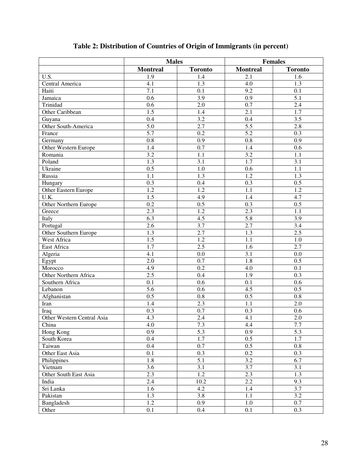|                            | <b>Males</b>    |                |                 | <b>Females</b> |
|----------------------------|-----------------|----------------|-----------------|----------------|
|                            | <b>Montreal</b> | <b>Toronto</b> | <b>Montreal</b> | <b>Toronto</b> |
| U.S.                       | 1.9             | 1.4            | 2.1             | 1.6            |
| Central America            | 4.1             | 1.3            | 4.0             | 1.3            |
| Haiti                      | 7.1             | 0.1            | 9.2             | 0.1            |
| Jamaica                    | 0.6             | 3.9            | 0.9             | 5.1            |
| Trinidad                   | 0.6             | 2.0            | 0.7             | 2.4            |
| Other Caribbean            | 1.5             | 1.4            | 2.1             | 1.7            |
| Guyana                     | 0.4             | 3.2            | 0.4             | 3.5            |
| Other South-America        | 5.0             | 2.7            | 5.5             | 2.8            |
| France                     | 5.7             | 0.2            | 5.2             | 0.3            |
| Germany                    | 0.8             | 0.9            | 0.8             | 0.9            |
| Other Western Europe       | 1.4             | 0.7            | 1.4             | 0.6            |
| Romania                    | 3.2             | 1.1            | 3.2             | 1.1            |
| Poland                     | 1.3             | 3.1            | 1.7             | 3.1            |
| Ukraine                    | 0.5             | 1.0            | 0.6             | 1.1            |
| Russia                     | 1.1             | 1.3            | 1.2             | 1.3            |
| Hungary                    | 0.3             | 0.4            | 0.3             | 0.5            |
| Other Eastern Europe       | 1.2             | 1.2            | 1.1             | 1.2            |
| U.K.                       | 1.5             | 4.9            | 1.4             | 4.7            |
| Other Northern Europe      | 0.2             | 0.5            | 0.3             | 0.5            |
| Greece                     | 2.3             | 1.2            | 2.3             | 1.1            |
| Italy                      | 6.3             | 4.5            | 5.8             | 3.9            |
| Portugal                   | 2.6             | 3.7            | 2.7             | 3.4            |
| Other Southern Europe      | 1.3             | 2.7            | 1.3             | 2.5            |
| West Africa                | 1.5             | 1.2            | 1.1             | 1.0            |
| East Africa                | 1.7             | 2.5            | 1.6             | 2.7            |
| Algeria                    | 4.1             | 0.0            | 3.1             | 0.0            |
| Egypt                      | 2.0             | 0.7            | 1.8             | 0.5            |
| Morocco                    | 4.9             | 0.2            | 4.0             | 0.1            |
| Other Northern Africa      | 2.5             | 0.4            | 1.9             | 0.3            |
| Southern Africa            | 0.1             | 0.6            | 0.1             | 0.6            |
| Lebanon                    | 5.6             | 0.6            | 4.5             | 0.5            |
| Afghanistan                | 0.5             | 0.8            | 0.5             | 0.8            |
| Iran                       | 1.4             | 2.3            | 1.1             | 2.0            |
| Iraq                       | 0.3             | 0.7            | 0.3             | 0.6            |
| Other Western Central Asia | 4.3             | 2.4            | 4.1             | 2.0            |
| China                      | 4.0             | 7.3            | 4.4             | 7.7            |
| Hong Kong                  | 0.9             | 5.3            | 0.9             | 5.3            |
| South Korea                | $0.4\,$         | 1.7            | 0.5             | 1.7            |
| Taiwan                     | $0.4\,$         | 0.7            | 0.5             | 0.8            |
| Other East Asia            | 0.1             | 0.3            | 0.2             | 0.3            |
| Philippines                | 1.8             | 5.1            | 3.2             | 6.7            |
| Vietnam                    | 3.6             | 3.1            | 3.7             | 3.1            |
| Other South East Asia      | 2.3             | 1.2            | 2.3             | 1.3            |
| India                      | 2.4             | 10.2           | 2.2             | 9.3            |
| Sri Lanka                  | 1.6             | 4.2            | 1.4             | 3.7            |
| Pakistan                   | 1.3             | 3.8            | 1.1             | 3.2            |
| Bangladesh                 | 1.2             | 0.9            | 1.0             | 0.7            |
| Other                      | 0.1             | 0.4            | 0.1             | 0.3            |

# **Table 2: Distribution of Countries of Origin of Immigrants (in percent)**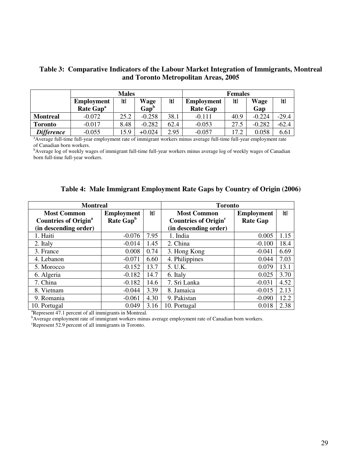| Table 3: Comparative Indicators of the Labour Market Integration of Immigrants, Montreal |
|------------------------------------------------------------------------------------------|
| and Toronto Metropolitan Areas, 2005                                                     |

|                   |                       | <b>Males</b> |                  | <b>Females</b> |                   |      |             |         |  |
|-------------------|-----------------------|--------------|------------------|----------------|-------------------|------|-------------|---------|--|
|                   | <b>Employment</b>     | ltl          | Wage             | Itl            | <b>Employment</b> | ltl  | <b>Wage</b> | ltl     |  |
|                   | Rate Gap <sup>a</sup> |              | Gap <sup>b</sup> |                | <b>Rate Gap</b>   |      | Gap         |         |  |
| <b>Montreal</b>   | $-0.072$              | 25.2         | $-0.258$         | 38.1           | $-0.111$          | 40.9 | $-0.224$    | $-29.4$ |  |
| <b>Toronto</b>    | $-0.017$              | 8.48         | $-0.282$         | 62.4           | $-0.053$          | 27.5 | $-0.282$    | $-62.4$ |  |
| <b>Difference</b> | $-0.055$              | 5.9          | $+0.024$         | 2.95           | $-0.057$          | 17.2 | 0.058       | 6.61    |  |

<sup>a</sup>Average full-time full-year employment rate of immigrant workers minus average full-time full-year employment rate of Canadian born workers.

<sup>b</sup>Average log of weekly wages of immigrant full-time full-year workers minus average log of weekly wages of Canadian born full-time full-year workers.

|  |  |  |  |  | Table 4: Male Immigrant Employment Rate Gaps by Country of Origin (2006) |
|--|--|--|--|--|--------------------------------------------------------------------------|
|--|--|--|--|--|--------------------------------------------------------------------------|

| <b>Montreal</b>                        |                       | <b>Toronto</b> |                                        |                   |      |  |  |
|----------------------------------------|-----------------------|----------------|----------------------------------------|-------------------|------|--|--|
| <b>Most Common</b>                     | <b>Employment</b>     | t              | <b>Most Common</b>                     | <b>Employment</b> | Itl  |  |  |
| <b>Countries of Origin<sup>a</sup></b> | Rate Gap <sup>b</sup> |                | <b>Countries of Origin<sup>c</sup></b> | <b>Rate Gap</b>   |      |  |  |
| (in descending order)                  |                       |                | (in descending order)                  |                   |      |  |  |
| 1. Haiti                               | $-0.076$              | 7.95           | 1. India                               | 0.005             | 1.15 |  |  |
| 2. Italy                               | $-0.014$              | 1.45           | 2. China                               | $-0.100$          | 18.4 |  |  |
| 3. France                              | 0.008                 | 0.74           | 3. Hong Kong                           | $-0.041$          | 6.69 |  |  |
| 4. Lebanon                             | $-0.071$              | 6.60           | 4. Philippines                         | 0.044             | 7.03 |  |  |
| 5. Morocco                             | $-0.152$              | 13.7           | 5. U.K.                                | 0.079             | 13.1 |  |  |
| 6. Algeria                             | $-0.182$              | 14.7           | 6. Italy                               | 0.025             | 3.70 |  |  |
| 7. China                               | $-0.182$              | 14.6           | 7. Sri Lanka                           | $-0.031$          | 4.52 |  |  |
| 8. Vietnam                             | $-0.044$              | 3.39           | 8. Jamaica                             | $-0.015$          | 2.13 |  |  |
| 9. Romania                             | $-0.061$              | 4.30           | 9. Pakistan                            | $-0.090$          | 12.2 |  |  |
| 10. Portugal                           | 0.049                 | 3.16           | 10. Portugal                           | 0.018             | 2.38 |  |  |

<sup>a</sup>Represent 47.1 percent of all immigrants in Montreal.

<sup>b</sup>Average employment rate of immigrant workers minus average employment rate of Canadian born workers.

<sup>c</sup>Represent 52.9 percent of all immigrants in Toronto.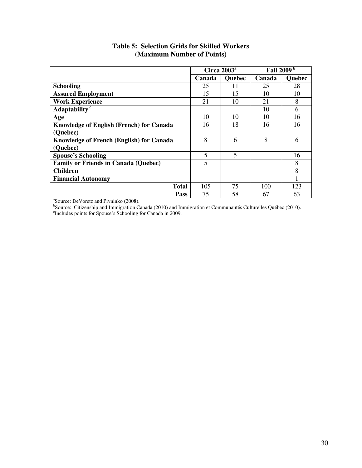|                                                 | Circa $2003^a$ |                | Fall 2009 <sup>b</sup> |               |
|-------------------------------------------------|----------------|----------------|------------------------|---------------|
|                                                 | Canada         | <b>Quebec</b>  | Canada                 | <b>Quebec</b> |
| <b>Schooling</b>                                | 25             | 11             | 25                     | 28            |
| <b>Assured Employment</b>                       | 15             | 15             | 10                     | 10            |
| <b>Work Experience</b>                          | 21             | 10             | 21                     | 8             |
| Adaptability <sup>c</sup>                       |                |                | 10                     | 6             |
| Age                                             | 10             | 10             | 10                     | 16            |
| <b>Knowledge of English (French) for Canada</b> | 16             | 18             | 16                     | 16            |
| (Quebec)                                        |                |                |                        |               |
| <b>Knowledge of French (English) for Canada</b> | 8              | 6              | 8                      | 6             |
| (Quebec)                                        |                |                |                        |               |
| <b>Spouse's Schooling</b>                       | 5              | $\overline{5}$ |                        | 16            |
| <b>Family or Friends in Canada (Quebec)</b>     | 5              |                |                        | 8             |
| <b>Children</b>                                 |                |                |                        | 8             |
| <b>Financial Autonomy</b>                       |                |                |                        |               |
| <b>Total</b>                                    | 105            | 75             | 100                    | 123           |
| Pass                                            | 75             | 58             | 67                     | 63            |

## **Table 5: Selection Grids for Skilled Workers (Maximum Number of Points)**

**Pass** 75 58 67 63<br>
Source: DeVoretz and Pivninko (2008).<br>
Source: Citizenship and Immigration Canada (2010) and Immigration et Communautés Culturelles Québec (2010).<br>
Fincludes points for Spouse's Schooling for Canada in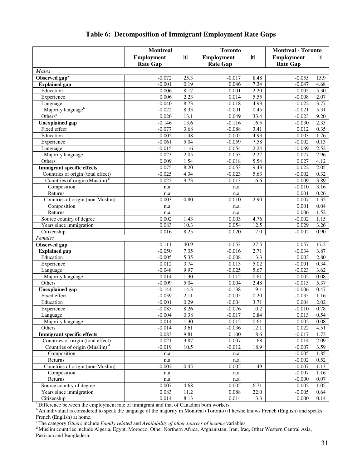## **Table 6: Decomposition of Immigrant Employment Rate Gaps**

|                                           | <b>Montreal</b>   |      | <b>Toronto</b>    |                   | <b>Montreal - Toronto</b> |      |  |  |
|-------------------------------------------|-------------------|------|-------------------|-------------------|---------------------------|------|--|--|
|                                           | <b>Employment</b> | t    | <b>Employment</b> | t                 | <b>Employment</b>         | t    |  |  |
|                                           | <b>Rate Gap</b>   |      | <b>Rate Gap</b>   |                   | <b>Rate Gap</b>           |      |  |  |
| Males                                     |                   |      |                   |                   |                           |      |  |  |
| Observed gap <sup>a</sup>                 | $-0.072$          | 25.3 | $-0.017$          | 8.48              | $-0.055$                  | 15.9 |  |  |
| <b>Explained</b> gap                      | $-0.001$          | 0.19 | 0.046             | 7.34              | $-0.047$                  | 4.68 |  |  |
| Education                                 | 0.006             | 8.17 | 0.001             | 2.20              | 0.005                     | 5.30 |  |  |
| Experience                                | 0.006             | 2.23 | 0.014             | $\overline{5.55}$ | $-0.008$                  | 2.07 |  |  |
| Language                                  | $-0.040$          | 8.73 | $-0.018$          | 4.93              | $-0.022$                  | 3.77 |  |  |
| Majority language <sup>b</sup>            | $-0.022$          | 8.33 | $-0.001$          | 0.45              | $-0.021$                  | 5.31 |  |  |
| Others <sup>c</sup>                       | 0.026             | 13.1 | 0.049             | 33.4              | $-0.023$                  | 9.20 |  |  |
| <b>Unexplained</b> gap                    | $-0.146$          | 13.6 | $-0.116$          | 16.5              | $-0.030$                  | 2.35 |  |  |
| Fixed effect                              | $-0.077$          | 3.68 | $-0.088$          | 3.41              | 0.012                     | 0.35 |  |  |
| Education                                 | $-0.002$          | 1.48 | $-0.005$          | 4.93              | 0.003                     | 1.76 |  |  |
| Experience                                | $-0.061$          | 5.04 | $-0.059$          | 7.58              | $-0.002$                  | 0.13 |  |  |
| Language                                  | $-0.015$          | 1.16 | 0.054             | 2.24              | $-0.069$                  | 2.52 |  |  |
| Majority language                         | $-0.023$          | 2.05 | 0.053             | 2.27              | $-0.077$                  | 2.96 |  |  |
| Others                                    | 0.009             | 1.54 | $-0.018$          | 5.54              | 0.027                     | 4.12 |  |  |
| <b>Immigrant specific effects</b>         | 0.075             | 8.20 | 0.053             | 9.43              | 0.022                     | 2.05 |  |  |
| Countries of origin (total effect)        | $-0.025$          | 4.34 | $-0.023$          | $\overline{5.63}$ | $-0.002$                  | 0.32 |  |  |
| Countries of origin (Muslim) <sup>c</sup> | $-0.022$          | 9.73 | $-0.013$          | 16.6              | $-0.009$                  | 3.89 |  |  |
| Composition                               | n.a.              |      | n.a.              |                   | $-0.010$                  | 3.16 |  |  |
| Returns                                   | n.a.              |      | n.a.              |                   | 0.001                     | 0.26 |  |  |
| Countries of origin (non-Muslim)          | $-0.003$          | 0.80 | $-0.010$          | 2.90              | 0.007                     | 1.32 |  |  |
| Composition                               | n.a.              |      | n.a.              |                   | 0.001                     | 0.04 |  |  |
| Returns                                   | n.a.              |      | n.a.              |                   | 0.006                     | 1.52 |  |  |
| Source country of degree                  | 0.002             | 1.43 | 0.003             | 4.76              | $-0.002$                  | 1.15 |  |  |
| Years since immigration                   | 0.083             | 10.3 | 0.054             | 12.5              | 0.029                     | 3.26 |  |  |
| Citizenship                               | 0.016             | 8.25 | 0.020             | 17.0              | $-0.002$                  | 0.90 |  |  |
| Females                                   |                   |      |                   |                   |                           |      |  |  |
| Observed gap                              | $-0.111$          | 40.9 | $-0.053$          | 27.5              | $-0.057$                  | 17.2 |  |  |
| <b>Explained</b> gap                      | $-0.050$          | 7.35 | $-0.016$          | 2.71              | $-0.034$                  | 3.87 |  |  |
| Education                                 | $-0.005$          | 5.35 | $-0.008$          | 13.3              | 0.003                     | 2.80 |  |  |
| Experience                                | 0.012             | 3.74 | 0.013             | $\overline{5.02}$ | $-0.001$                  | 0.34 |  |  |
| Language                                  | $-0.048$          | 9.97 | $-0.025$          | 5.67              | $-0.023$                  | 3.62 |  |  |
| Majority language                         | $-0.014$          | 1.30 | $-0.012$          | 0.61              | $-0.002$                  | 0.08 |  |  |
| Others                                    | $-0.009$          | 5.04 | 0.004             | 2.48              | $-0.013$                  | 5.37 |  |  |
| <b>Unexplained</b> gap                    | $-0.144$          | 14.3 | $-0.138$          | 19.1              | $-0.006$                  | 0.47 |  |  |
| Fixed effect                              | $-0.039$          | 2.11 | $-0.005$          | 0.20              | $-0.035$                  | 1.16 |  |  |
| Education                                 | $-0.001$          | 0.29 | $-0.004$          | 3.71              | 0.004                     | 2.02 |  |  |
| Experience                                | $-0.085$          | 8.26 | $-0.076$          | 10.2              | $-0.010$                  | 0.78 |  |  |
| Language                                  | $-0.004$          | 0.38 | $-0.017$          | 0.84              | 0.013                     | 0.54 |  |  |
| Majority language                         | $-0.014$          | 1.30 | $-0.012$          | 0.61              | 0.002                     | 0.08 |  |  |
| Others                                    | $-0.014$          | 3.61 | $-0.036$          | 12.1              | 0.022                     | 4.51 |  |  |
| <b>Immigrant specific effects</b>         | 0.083             | 9.81 | 0.100             | $18.\overline{6}$ | $-0.017$                  | 1.73 |  |  |
| Countries of origin (total effect)        | $-0.021$          | 3.87 | $-0.007$          | 1.68              | $-0.014$                  | 2.09 |  |  |
| Countries of origin (Muslim) <sup>d</sup> | $-0.019$          | 10.5 | $-0.012$          | 18.9              | $-0.007$                  | 3.59 |  |  |
| Composition                               | n.a.              |      | n.a.              |                   | $-0.005$                  | 1.85 |  |  |
| Returns                                   | n.a.              |      | n.a.              |                   | $-0.002$                  | 0.52 |  |  |
| Countries of origin (non-Muslim)          | $-0.002$          | 0.45 | 0.005             | 1.49              | $-0.007$                  | 1.13 |  |  |
| Composition                               | n.a.              |      | n.a.              |                   | $-0.007$                  | 1.16 |  |  |
| Returns                                   | n.a.              |      | n.a.              |                   | $-0.000$                  | 0.07 |  |  |
| Source country of degree                  | 0.007             | 4.68 | 0.005             | 6.71              | 0.002                     | 1.05 |  |  |
| Years since immigration                   | 0.083             | 11.2 | 0.088             | 22.0              | $-0.005$                  | 0.64 |  |  |
| Citizenship                               | 0.014             | 8.13 | 0.014             | 13.3              | 0.000                     | 0.14 |  |  |

<sup>a</sup> Difference between the employment rate of immigrant and that of Canadian born workers.

b An individual is considered to speak the language of the majority in Montreal (Toronto) if he/she knows French (English) and speaks French (English) at home.

<sup>c</sup>The category *Others* include *Family related* and *Availability of other sources of income* variables.

d Muslim countries include Algeria, Egypt, Morocco, Other Northern Africa, Afghanistan, Iran, Iraq, Other Western Central Asia, Pakistan and Bangladesh.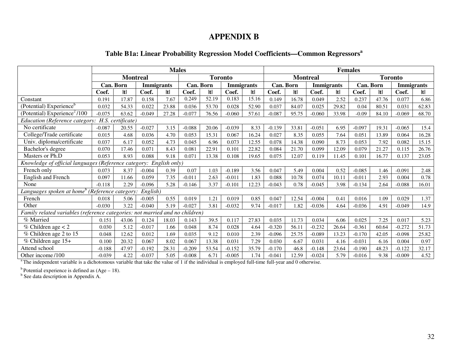## **APPENDIX B**

## **Table B1a: Linear Probability Regression Model Coefficients—Common Regressors<sup>a</sup>**

|                                                                              |          | <b>Males</b>                      |                   |       |          |           |                   | <b>Females</b> |                 |           |          |                   |                |           |          |                   |
|------------------------------------------------------------------------------|----------|-----------------------------------|-------------------|-------|----------|-----------|-------------------|----------------|-----------------|-----------|----------|-------------------|----------------|-----------|----------|-------------------|
|                                                                              |          | <b>Montreal</b><br><b>Toronto</b> |                   |       |          |           |                   |                | <b>Montreal</b> |           |          |                   | <b>Toronto</b> |           |          |                   |
|                                                                              |          | Can. Born                         | <b>Immigrants</b> |       |          | Can. Born | <b>Immigrants</b> |                |                 | Can. Born |          | <b>Immigrants</b> |                | Can. Born |          | <b>Immigrants</b> |
|                                                                              | Coef.    | Itl                               | Coef.             | ltl   | Coef.    | Itl       | Coef.             | t              | Coef.           | t         | Coef.    | ltl               | Coef.          | ltl       | Coef.    | ltl               |
| Constant                                                                     | 0.191    | 17.87                             | 0.158             | 7.67  | 0.249    | 52.19     | 0.183             | 15.16          | 0.149           | 16.78     | 0.049    | 2.52              | 0.237          | 47.76     | 0.077    | 6.86              |
| (Potential) Experience <sup>b</sup>                                          | 0.032    | 54.33                             | 0.022             | 23.88 | 0.036    | 53.70     | 0.028             | 52.90          | 0.037           | 84.07     | 0.025    | 29.82             | 0.04           | 80.51     | 0.031    | 62.83             |
| (Potential) Experience <sup>2</sup> /100                                     | $-0.075$ | 63.62                             | $-0.049$          | 27.28 | $-0.077$ | 76.56     | $-0.060$          | 57.61          | $-0.087$        | 95.75     | $-0.060$ | 33.98             | $-0.09$        | 84.10     | $-0.069$ | 68.70             |
| Education (Reference category:                                               |          | H.S. certificate)                 |                   |       |          |           |                   |                |                 |           |          |                   |                |           |          |                   |
| No certificate                                                               | $-0.087$ | 20.55                             | $-0.027$          | 3.15  | $-0.088$ | 20.06     | $-0.039$          | 8.33           | $-0.139$        | 33.81     | $-0.051$ | 6.95              | $-0.097$       | 19.31     | $-0.065$ | 15.4              |
| College/Trade certificate                                                    | 0.015    | 4.68                              | 0.036             | 4.70  | 0.053    | 15.31     | 0.067             | 16.24          | 0.027           | 8.35      | 0.055    | 7.64              | 0.051          | 13.89     | 0.064    | 16.28             |
| Univ. diploma/certificate                                                    | 0.037    | 6.17                              | 0.052             | 4.73  | 0.045    | 6.96      | 0.073             | 12.55          | 0.078           | 14.38     | 0.090    | 8.73              | 0.053          | 7.92      | 0.082    | 15.15             |
| Bachelor's degree                                                            | 0.070    | 17.46                             | 0.071             | 8.43  | 0.081    | 22.91     | 0.101             | 22.82          | 0.084           | 21.70     | 0.099    | 12.09             | 0.079          | 21.27     | 0.115    | 26.76             |
| Masters or Ph.D                                                              | 0.053    | 8.93                              | 0.088             | 9.18  | 0.071    | 13.38     | 0.108             | 19.65          | 0.075           | 12.07     | 0.119    | 11.45             | 0.101          | 16.77     | 0.137    | 23.05             |
| Knowledge of official languages (Reference category: English only)           |          |                                   |                   |       |          |           |                   |                |                 |           |          |                   |                |           |          |                   |
| French only                                                                  | 0.073    | 8.37                              | $-0.004$          | 0.39  | 0.07     | 1.03      | $-0.189$          | 3.56           | 0.047           | 5.49      | 0.004    | 0.52              | $-0.085$       | 1.46      | $-0.091$ | 2.48              |
| English and French                                                           | 0.097    | 11.66                             | 0.059             | 7.35  | $-0.011$ | 2.63      | $-0.011$          | 1.83           | 0.088           | 10.78     | 0.074    | 10.11             | $-0.011$       | 2.93      | 0.004    | 0.78              |
| None                                                                         | $-0.118$ | 2.29                              | $-0.096$          | 5.28  | $-0.146$ | 3.37      | $-0.101$          | 12.23          | $-0.043$        | 0.78      | $-0.045$ | 3.98              | $-0.134$       | 2.64      | $-0.088$ | 16.01             |
| Languages spoken at home <sup>b</sup> (Reference category:                   |          |                                   | English)          |       |          |           |                   |                |                 |           |          |                   |                |           |          |                   |
| French                                                                       | 0.018    | 5.06                              | $-0.005$          | 0.55  | 0.019    | 1.21      | 0.019             | 0.85           | 0.047           | 12.54     | $-0.004$ | 0.41              | 0.016          | 1.09      | 0.029    | 1.37              |
| Other                                                                        | $-0.030$ | 3.22                              | $-0.040$          | 5.19  | $-0.027$ | 3.81      | $-0.032$          | 9.74           | $-0.017$        | 1.82      | $-0.036$ | 4.64              | $-0.036$       | 4.91      | $-0.049$ | 14.9              |
| Family related variables (reference categories: not married and no children) |          |                                   |                   |       |          |           |                   |                |                 |           |          |                   |                |           |          |                   |
| % Married                                                                    | 0.151    | 43.06                             | 0.124             | 18.03 | 0.143    | 39.5      | 0.117             | 27.83          | 0.035           | 11.73     | 0.034    | 6.06              | 0.025          | 7.25      | 0.017    | 5.23              |
| % Children age $<$ 2                                                         | 0.030    | 5.12                              | $-0.017$          | 1.66  | 0.048    | 8.74      | 0.028             | 4.64           | $-0.320$        | 56.11     | $-0.232$ | 26.64             | $-0.361$       | 60.64     | $-0.272$ | 51.73             |
| % Children age 2 to 15                                                       | 0.048    | 12.62                             | 0.012             | 1.69  | 0.035    | 9.12      | 0.010             | 2.39           | $-0.096$        | 25.75     | $-0.089$ | 13.23             | $-0.170$       | 42.05     | $-0.098$ | 25.82             |
| % Children age 15+                                                           | 0.100    | 20.32                             | 0.067             | 8.02  | 0.067    | 13.38     | 0.031             | 7.29           | 0.030           | 6.67      | 0.031    | 4.16              | $-0.031$       | 6.16      | 0.004    | 0.97              |
| Attend school                                                                | $-0.188$ | 47.97                             | $-0.192$          | 28.31 | $-0.209$ | 53.54     | $-0.152$          | 35.79          | $-0.170$        | 46.8      | $-0.148$ | 23.64             | $-0.190$       | 48.23     | $-0.122$ | 32.17             |
| Other income/100                                                             | $-0.039$ | 4.22                              | $-0.037$          | 5.05  | $-0.008$ | 6.71      | $-0.005$          | 1.74           | $-0.041$        | 12.59     | $-0.024$ | 5.79              | $-0.016$       | 9.38      | $-0.009$ | 4.52              |

a The independent variable is a dichotomous variable that take the value of 1 if the individual is employed full-time full-year and 0 otherwise.

<sup>b</sup> Potential experience is defined as  $(Age - 18)$ .<br><sup>b</sup> See data description in Appendix A.